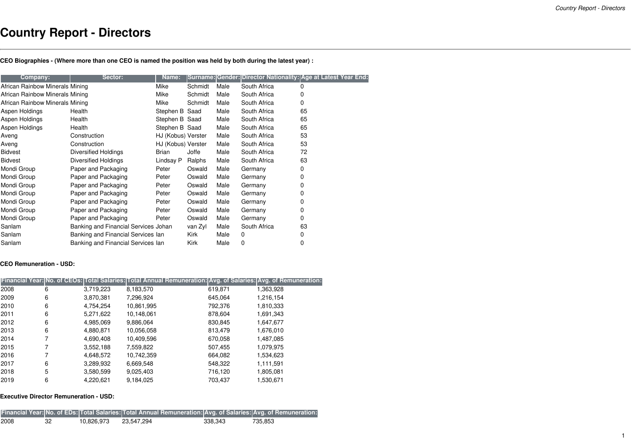## **Country Report - Directors**

CEO Biographies - (Where more than one CEO is named the position was held by both during the latest year) :

| Company:                        | Sector:                              | Name:              |         |      |              | Surname: Gender: Director Nationality: Age at Latest Year End: |
|---------------------------------|--------------------------------------|--------------------|---------|------|--------------|----------------------------------------------------------------|
| African Rainbow Minerals Mining |                                      | Mike               | Schmidt | Male | South Africa | 0                                                              |
| African Rainbow Minerals Mining |                                      | Mike               | Schmidt | Male | South Africa | 0                                                              |
| African Rainbow Minerals Mining |                                      | Mike               | Schmidt | Male | South Africa | 0                                                              |
| Aspen Holdings                  | Health                               | Stephen B Saad     |         | Male | South Africa | 65                                                             |
| Aspen Holdings                  | Health                               | Stephen B Saad     |         | Male | South Africa | 65                                                             |
| Aspen Holdings                  | Health                               | Stephen B Saad     |         | Male | South Africa | 65                                                             |
| Aveng                           | Construction                         | HJ (Kobus) Verster |         | Male | South Africa | 53                                                             |
| Aveng                           | Construction                         | HJ (Kobus) Verster |         | Male | South Africa | 53                                                             |
| <b>Bidvest</b>                  | Diversified Holdings                 | Brian              | Joffe   | Male | South Africa | 72                                                             |
| <b>Bidvest</b>                  | <b>Diversified Holdings</b>          | Lindsay P          | Ralphs  | Male | South Africa | 63                                                             |
| Mondi Group                     | Paper and Packaging                  | Peter              | Oswald  | Male | Germany      | 0                                                              |
| Mondi Group                     | Paper and Packaging                  | Peter              | Oswald  | Male | Germany      | 0                                                              |
| Mondi Group                     | Paper and Packaging                  | Peter              | Oswald  | Male | Germany      | 0                                                              |
| Mondi Group                     | Paper and Packaging                  | Peter              | Oswald  | Male | Germany      | 0                                                              |
| Mondi Group                     | Paper and Packaging                  | Peter              | Oswald  | Male | Germany      | 0                                                              |
| Mondi Group                     | Paper and Packaging                  | Peter              | Oswald  | Male | Germany      | 0                                                              |
| Mondi Group                     | Paper and Packaging                  | Peter              | Oswald  | Male | Germany      | 0                                                              |
| Sanlam                          | Banking and Financial Services Johan |                    | van Zyl | Male | South Africa | 63                                                             |
| Sanlam                          | Banking and Financial Services Ian   |                    | Kirk    | Male | 0            | 0                                                              |
| Sanlam                          | Banking and Financial Services Ian   |                    | Kirk    | Male | 0            | 0                                                              |

## **CEO Remuneration - USD:**

|      |   |           | Financial Year: No. of CEOs: Total Salaries: Total Annual Remuneration: Avg. of Salaries: Avg. of Remuneration: |         |           |
|------|---|-----------|-----------------------------------------------------------------------------------------------------------------|---------|-----------|
| 2008 | 6 | 3.719.223 | 8,183,570                                                                                                       | 619,871 | 1,363,928 |
| 2009 | 6 | 3.870.381 | 7.296.924                                                                                                       | 645.064 | 1,216,154 |
| 2010 | 6 | 4.754.254 | 10,861,995                                                                                                      | 792.376 | 1,810,333 |
| 2011 | 6 | 5.271.622 | 10.148.061                                                                                                      | 878,604 | 1,691,343 |
| 2012 | 6 | 4,985,069 | 9,886,064                                                                                                       | 830,845 | 1.647.677 |
| 2013 | 6 | 4,880,871 | 10,056,058                                                                                                      | 813,479 | 1,676,010 |
| 2014 |   | 4,690,408 | 10.409.596                                                                                                      | 670,058 | 1.487.085 |
| 2015 |   | 3,552,188 | 7,559,822                                                                                                       | 507,455 | 1,079,975 |
| 2016 |   | 4.648.572 | 10.742.359                                                                                                      | 664,082 | 1,534,623 |
| 2017 | 6 | 3,289,932 | 6,669,548                                                                                                       | 548.322 | 1,111,591 |
| 2018 | 5 | 3,580,599 | 9,025,403                                                                                                       | 716,120 | 1,805,081 |
| 2019 | 6 | 4.220.621 | 9,184,025                                                                                                       | 703,437 | 1,530,671 |

## **Executive Director Remuneration - USD:**

|      |    |            | Financial Year: No. of EDs: Total Salaries: Total Annual Remuneration: Avg. of Salaries: Avg. of Remuneration: |         |         |
|------|----|------------|----------------------------------------------------------------------------------------------------------------|---------|---------|
| 2008 | 32 | 10.826.973 | 23.547.294                                                                                                     | 338.343 | 735.853 |